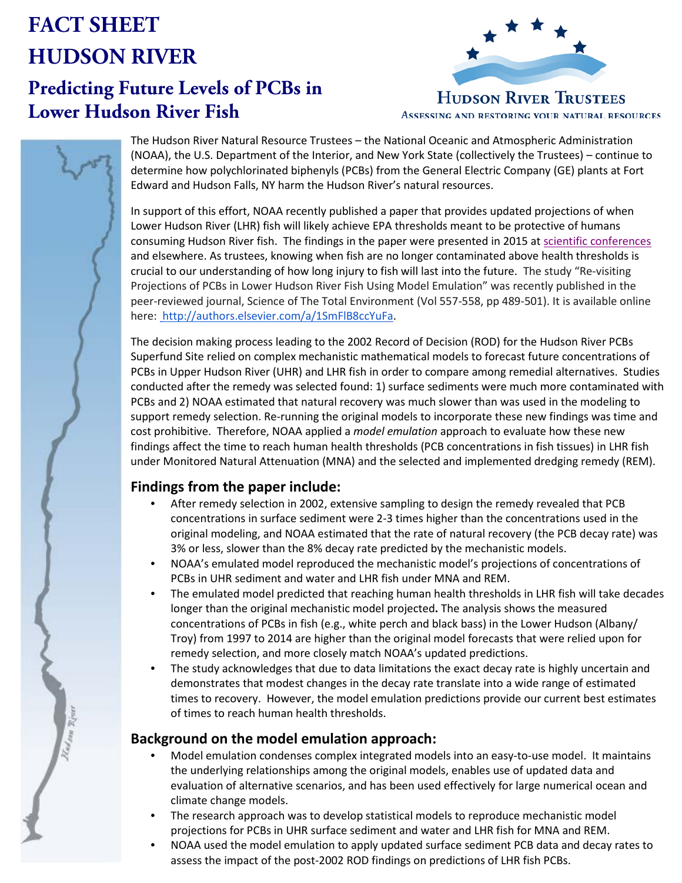# **FACT SHEET HUDSON RIVER**

# **Predicting Future Levels of PCBs in Lower Hudson River Fish**



**HUDSON RIVER TRUSTEES** ASSESSING AND RESTORING YOUR NATURAL RESOURCES



The Hudson River Natural Resource Trustees – the National Oceanic and Atmospheric Administration (NOAA), the U.S. Department of the Interior, and New York State (collectively the Trustees) – continue to determine how polychlorinated biphenyls (PCBs) from the General Electric Company (GE) plants at Fort Edward and Hudson Falls, NY harm the Hudson River's natural resources.

In support of this effort, NOAA recently published a paper that provides updated projections of when Lower Hudson River (LHR) fish will likely achieve EPA thresholds meant to be protective of humans consuming Hudson River fish. The findings in the paper were presented in 2015 at [scientific conferences](https://casedocuments.darrp.noaa.gov/northeast/hudson/pdf/CSF2015_AUG20_LHR_Fish_final_dist.pdf) and elsewhere. As trustees, knowing when fish are no longer contaminated above health thresholds is crucial to our understanding of how long injury to fish will last into the future. The study "Re-visiting Projections of PCBs in Lower Hudson River Fish Using Model Emulation" was recently published in the peer-reviewed journal, Science of The Total Environment (Vol 557-558, pp 489-501). It is available online here: [http://authors.elsevier.com/a/1SmFlB8ccYuFa.](http://authors.elsevier.com/a/1SmFlB8ccYuFa)

The decision making process leading to the 2002 Record of Decision (ROD) for the Hudson River PCBs Superfund Site relied on complex mechanistic mathematical models to forecast future concentrations of PCBs in Upper Hudson River (UHR) and LHR fish in order to compare among remedial alternatives. Studies conducted after the remedy was selected found: 1) surface sediments were much more contaminated with PCBs and 2) NOAA estimated that natural recovery was much slower than was used in the modeling to support remedy selection. Re-running the original models to incorporate these new findings was time and cost prohibitive. Therefore, NOAA applied a *model emulation* approach to evaluate how these new findings affect the time to reach human health thresholds (PCB concentrations in fish tissues) in LHR fish under Monitored Natural Attenuation (MNA) and the selected and implemented dredging remedy (REM).

# **Findings from the paper include:**

- After remedy selection in 2002, extensive sampling to design the remedy revealed that PCB concentrations in surface sediment were 2-3 times higher than the concentrations used in the original modeling, and NOAA estimated that the rate of natural recovery (the PCB decay rate) was 3% or less, slower than the 8% decay rate predicted by the mechanistic models.
- NOAA's emulated model reproduced the mechanistic model's projections of concentrations of PCBs in UHR sediment and water and LHR fish under MNA and REM.
- The emulated model predicted that reaching human health thresholds in LHR fish will take decades longer than the original mechanistic model projected**.** The analysis shows the measured concentrations of PCBs in fish (e.g., white perch and black bass) in the Lower Hudson (Albany/ Troy) from 1997 to 2014 are higher than the original model forecasts that were relied upon for remedy selection, and more closely match NOAA's updated predictions.
- The study acknowledges that due to data limitations the exact decay rate is highly uncertain and demonstrates that modest changes in the decay rate translate into a wide range of estimated times to recovery. However, the model emulation predictions provide our current best estimates of times to reach human health thresholds.

## **Background on the model emulation approach:**

- Model emulation condenses complex integrated models into an easy-to-use model. It maintains the underlying relationships among the original models, enables use of updated data and evaluation of alternative scenarios, and has been used effectively for large numerical ocean and climate change models.
- The research approach was to develop statistical models to reproduce mechanistic model projections for PCBs in UHR surface sediment and water and LHR fish for MNA and REM.
- NOAA used the model emulation to apply updated surface sediment PCB data and decay rates to assess the impact of the post-2002 ROD findings on predictions of LHR fish PCBs.